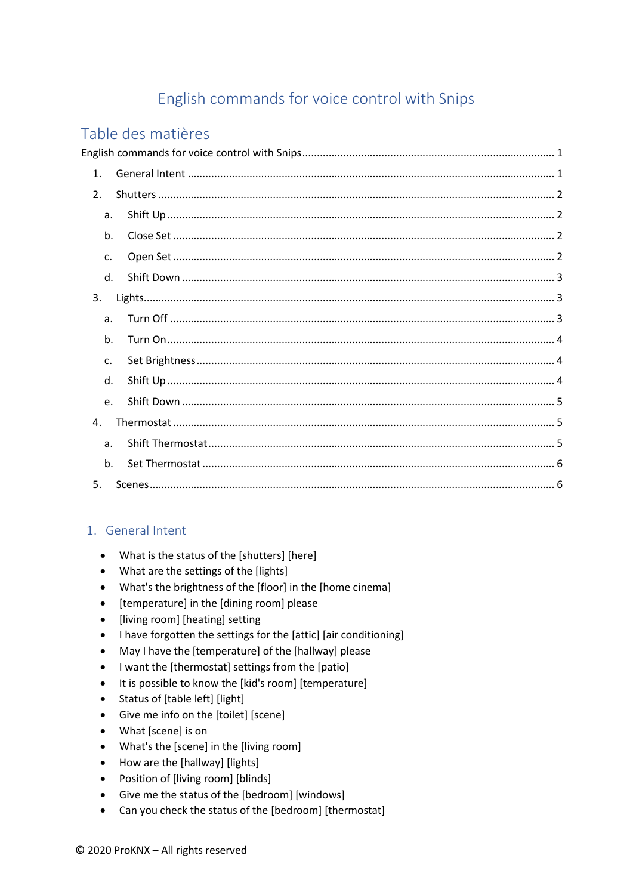# English commands for voice control with Snips

# <span id="page-0-0"></span>Table des matières

| 1.             |  |  |
|----------------|--|--|
| 2.             |  |  |
| a.             |  |  |
| b.             |  |  |
| c.             |  |  |
| $d_{\cdot}$    |  |  |
| 3.             |  |  |
| a.             |  |  |
| b.             |  |  |
| c.             |  |  |
| d.             |  |  |
| e.             |  |  |
| $\mathbf{A}$   |  |  |
| a <sub>r</sub> |  |  |
| b.             |  |  |
| 5.             |  |  |

# <span id="page-0-1"></span>1. General Intent

- What is the status of the [shutters] [here]
- What are the settings of the [lights]
- What's the brightness of the [floor] in the [home cinema]
- [temperature] in the [dining room] please
- [living room] [heating] setting  $\bullet$
- I have forgotten the settings for the [attic] [air conditioning]  $\bullet$
- May I have the [temperature] of the [hallway] please  $\bullet$
- I want the [thermostat] settings from the [patio]
- It is possible to know the [kid's room] [temperature]  $\bullet$
- Status of [table left] [light]  $\bullet$
- Give me info on the [toilet] [scene]
- What [scene] is on
- What's the [scene] in the [living room]
- How are the [hallway] [lights]
- Position of [living room] [blinds]
- Give me the status of the [bedroom] [windows]
- Can you check the status of the [bedroom] [thermostat]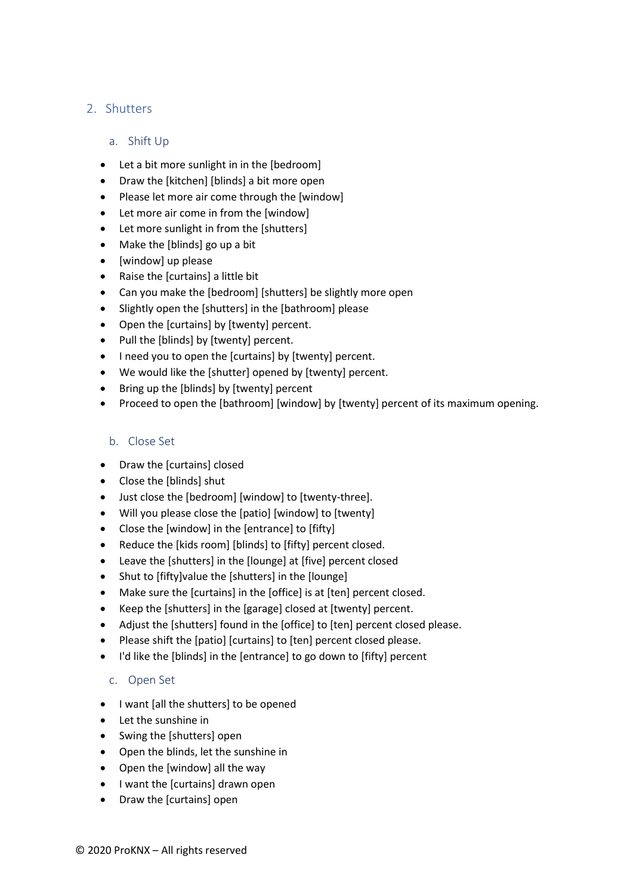# <span id="page-1-1"></span><span id="page-1-0"></span>2. Shutters

#### a. Shift Up

- Let a bit more sunlight in in the [bedroom]
- Draw the [kitchen] [blinds] a bit more open
- Please let more air come through the [window]
- Let more air come in from the [window]
- Let more sunlight in from the [shutters]
- Make the [blinds] go up a bit
- [window] up please
- Raise the [curtains] a little bit
- Can you make the [bedroom] [shutters] be slightly more open
- Slightly open the [shutters] in the [bathroom] please
- Open the [curtains] by [twenty] percent.
- Pull the [blinds] by [twenty] percent.
- I need you to open the [curtains] by [twenty] percent.
- We would like the [shutter] opened by [twenty] percent.
- Bring up the [blinds] by [twenty] percent
- Proceed to open the [bathroom] [window] by [twenty] percent of its maximum opening.

#### <span id="page-1-2"></span>b. Close Set

- Draw the [curtains] closed
- Close the [blinds] shut
- Just close the [bedroom] [window] to [twenty-three].
- Will you please close the [patio] [window] to [twenty]
- Close the [window] in the [entrance] to [fifty]
- Reduce the [kids room] [blinds] to [fifty] percent closed.
- Leave the [shutters] in the [lounge] at [five] percent closed
- Shut to [fifty]value the [shutters] in the [lounge]
- Make sure the [curtains] in the [office] is at [ten] percent closed.
- Keep the [shutters] in the [garage] closed at [twenty] percent.
- Adjust the [shutters] found in the [office] to [ten] percent closed please.
- Please shift the [patio] [curtains] to [ten] percent closed please.
- <span id="page-1-3"></span>• I'd like the [blinds] in the [entrance] to go down to [fifty] percent

#### c. Open Set

- I want [all the shutters] to be opened
- Let the sunshine in
- Swing the [shutters] open
- Open the blinds, let the sunshine in
- Open the [window] all the way
- I want the [curtains] drawn open
- Draw the [curtains] open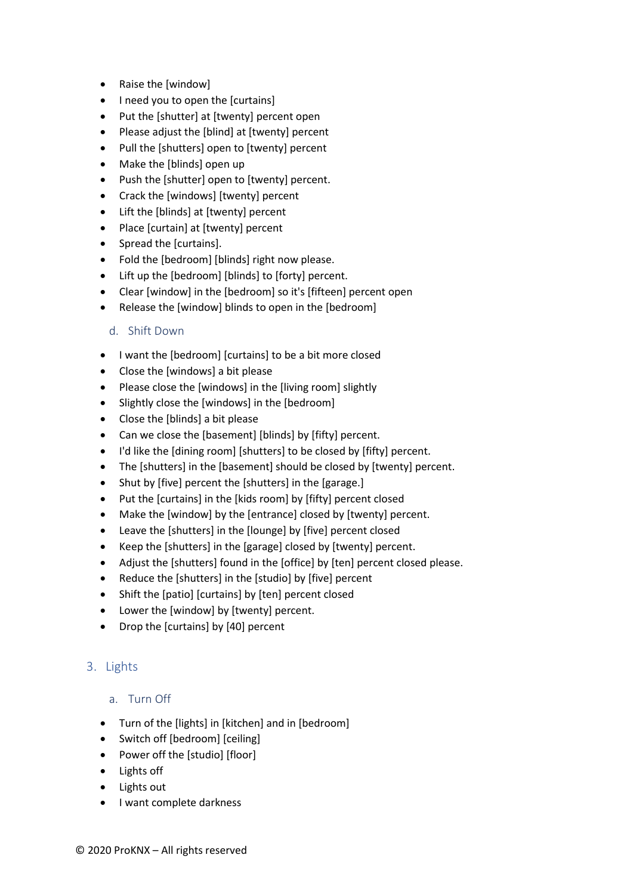- Raise the [window]
- I need you to open the [curtains]
- Put the [shutter] at [twenty] percent open
- Please adjust the [blind] at [twenty] percent
- Pull the [shutters] open to [twenty] percent
- Make the [blinds] open up
- Push the [shutter] open to [twenty] percent.
- Crack the [windows] [twenty] percent
- Lift the [blinds] at [twenty] percent
- Place [curtain] at [twenty] percent
- Spread the [curtains].
- Fold the [bedroom] [blinds] right now please.
- Lift up the [bedroom] [blinds] to [forty] percent.
- Clear [window] in the [bedroom] so it's [fifteen] percent open
- <span id="page-2-0"></span>Release the [window] blinds to open in the [bedroom]

#### d. Shift Down

- I want the [bedroom] [curtains] to be a bit more closed
- Close the [windows] a bit please
- Please close the [windows] in the [living room] slightly
- Slightly close the [windows] in the [bedroom]
- Close the [blinds] a bit please
- Can we close the [basement] [blinds] by [fifty] percent.
- I'd like the [dining room] [shutters] to be closed by [fifty] percent.
- The [shutters] in the [basement] should be closed by [twenty] percent.
- Shut by [five] percent the [shutters] in the [garage.]
- Put the [curtains] in the [kids room] by [fifty] percent closed
- Make the [window] by the [entrance] closed by [twenty] percent.
- Leave the [shutters] in the [lounge] by [five] percent closed
- Keep the [shutters] in the [garage] closed by [twenty] percent.
- Adjust the [shutters] found in the [office] by [ten] percent closed please.
- Reduce the [shutters] in the [studio] by [five] percent
- Shift the [patio] [curtains] by [ten] percent closed
- Lower the [window] by [twenty] percent.
- Drop the [curtains] by [40] percent

# <span id="page-2-2"></span><span id="page-2-1"></span>3. Lights

#### a. Turn Off

- Turn of the [lights] in [kitchen] and in [bedroom]
- Switch off [bedroom] [ceiling]
- Power off the [studio] [floor]
- Lights off
- Lights out
- I want complete darkness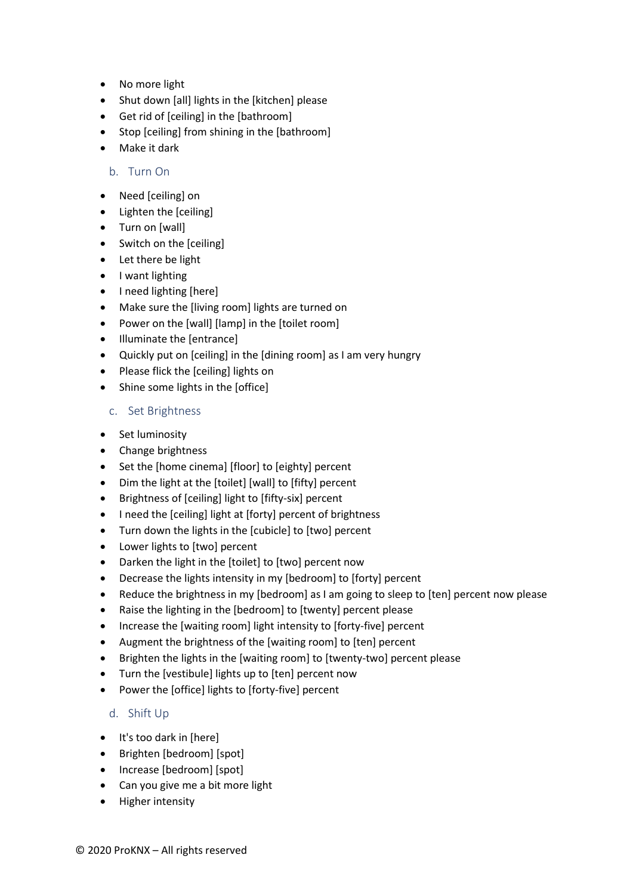- No more light
- Shut down [all] lights in the [kitchen] please
- Get rid of [ceiling] in the [bathroom]
- Stop [ceiling] from shining in the [bathroom]
- <span id="page-3-0"></span>• Make it dark

#### b. Turn On

- Need [ceiling] on
- Lighten the [ceiling]
- Turn on [wall]
- Switch on the [ceiling]
- Let there be light
- I want lighting
- I need lighting [here]
- Make sure the [living room] lights are turned on
- Power on the [wall] [lamp] in the [toilet room]
- Illuminate the [entrance]
- Quickly put on [ceiling] in the [dining room] as I am very hungry
- Please flick the [ceiling] lights on
- <span id="page-3-1"></span>• Shine some lights in the [office]

#### c. Set Brightness

- Set luminosity
- Change brightness
- Set the [home cinema] [floor] to [eighty] percent
- Dim the light at the [toilet] [wall] to [fifty] percent
- Brightness of [ceiling] light to [fifty-six] percent
- I need the [ceiling] light at [forty] percent of brightness
- Turn down the lights in the [cubicle] to [two] percent
- Lower lights to [two] percent
- Darken the light in the [toilet] to [two] percent now
- Decrease the lights intensity in my [bedroom] to [forty] percent
- Reduce the brightness in my [bedroom] as I am going to sleep to [ten] percent now please
- Raise the lighting in the [bedroom] to [twenty] percent please
- Increase the [waiting room] light intensity to [forty-five] percent
- Augment the brightness of the [waiting room] to [ten] percent
- Brighten the lights in the [waiting room] to [twenty-two] percent please
- Turn the [vestibule] lights up to [ten] percent now
- <span id="page-3-2"></span>• Power the [office] lights to [forty-five] percent

#### d. Shift Up

- It's too dark in [here]
- Brighten [bedroom] [spot]
- Increase [bedroom] [spot]
- Can you give me a bit more light
- Higher intensity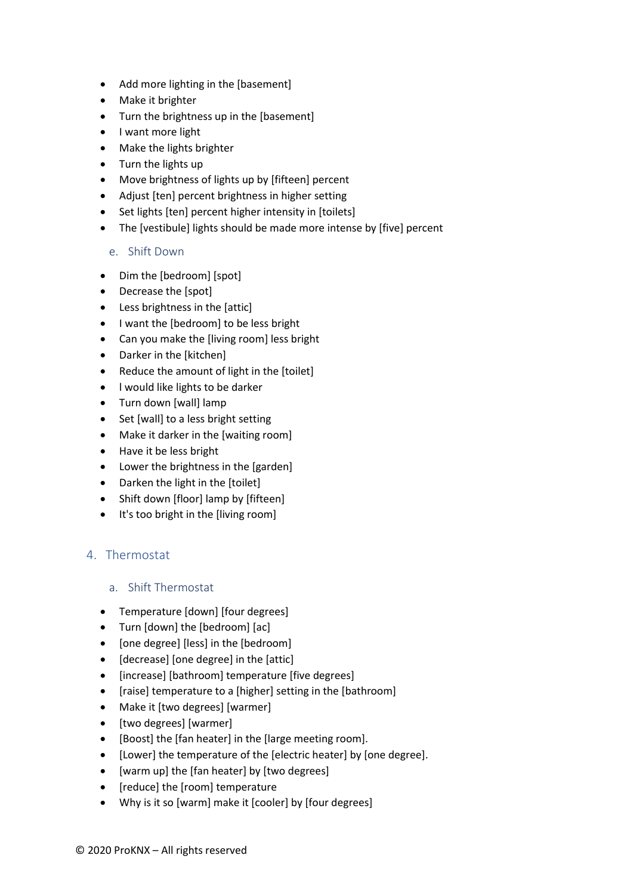- Add more lighting in the [basement]
- Make it brighter
- Turn the brightness up in the [basement]
- I want more light
- Make the lights brighter
- Turn the lights up
- Move brightness of lights up by [fifteen] percent
- Adjust [ten] percent brightness in higher setting
- Set lights [ten] percent higher intensity in [toilets]
- <span id="page-4-0"></span>• The [vestibule] lights should be made more intense by [five] percent

#### e. Shift Down

- Dim the [bedroom] [spot]
- Decrease the [spot]
- Less brightness in the [attic]
- I want the [bedroom] to be less bright
- Can you make the [living room] less bright
- Darker in the [kitchen]
- Reduce the amount of light in the [toilet]
- l would like lights to be darker
- Turn down [wall] lamp
- Set [wall] to a less bright setting
- Make it darker in the [waiting room]
- Have it be less bright
- Lower the brightness in the [garden]
- Darken the light in the [toilet]
- Shift down [floor] lamp by [fifteen]
- It's too bright in the [living room]

# <span id="page-4-2"></span><span id="page-4-1"></span>4. Thermostat

#### a. Shift Thermostat

- Temperature [down] [four degrees]
- Turn [down] the [bedroom] [ac]
- [one degree] [less] in the [bedroom]
- [decrease] [one degree] in the [attic]
- [increase] [bathroom] temperature [five degrees]
- [raise] temperature to a [higher] setting in the [bathroom]
- Make it [two degrees] [warmer]
- [two degrees] [warmer]
- [Boost] the [fan heater] in the [large meeting room].
- [Lower] the temperature of the [electric heater] by [one degree].
- [warm up] the [fan heater] by [two degrees]
- [reduce] the [room] temperature
- Why is it so [warm] make it [cooler] by [four degrees]